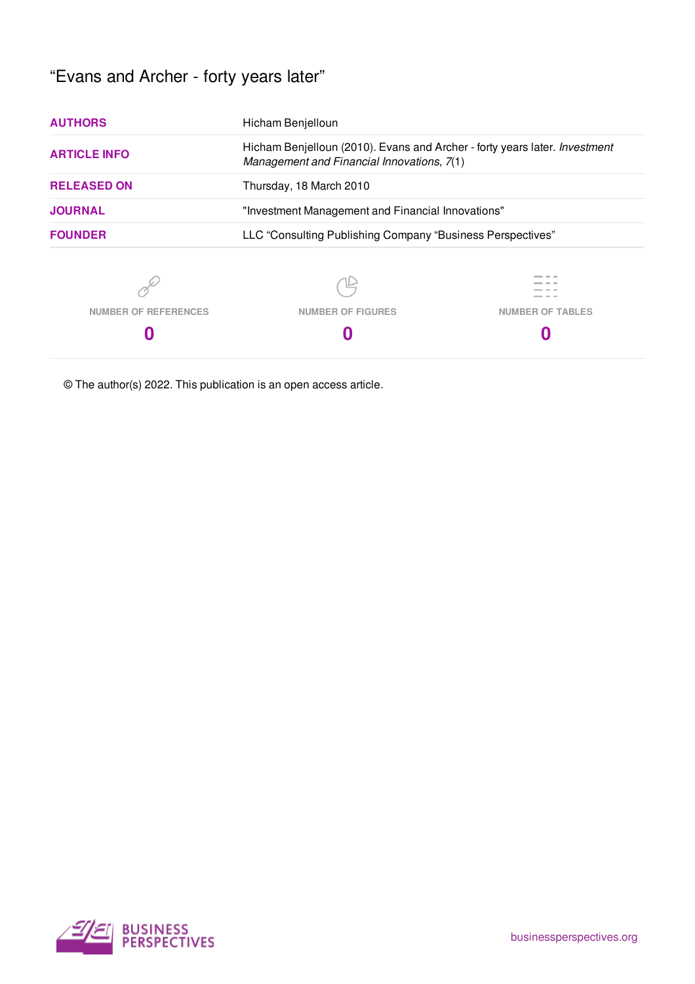# "Evans and Archer - forty years later"

| Hicham Benjelloun                                                                                                               |                         |  |  |  |  |  |
|---------------------------------------------------------------------------------------------------------------------------------|-------------------------|--|--|--|--|--|
| Hicham Benjelloun (2010). Evans and Archer - forty years later. <i>Investment</i><br>Management and Financial Innovations, 7(1) |                         |  |  |  |  |  |
| Thursday, 18 March 2010                                                                                                         |                         |  |  |  |  |  |
| "Investment Management and Financial Innovations"                                                                               |                         |  |  |  |  |  |
| LLC "Consulting Publishing Company "Business Perspectives"                                                                      |                         |  |  |  |  |  |
|                                                                                                                                 |                         |  |  |  |  |  |
| <b>NUMBER OF FIGURES</b>                                                                                                        | <b>NUMBER OF TABLES</b> |  |  |  |  |  |
|                                                                                                                                 |                         |  |  |  |  |  |
|                                                                                                                                 |                         |  |  |  |  |  |

© The author(s) 2022. This publication is an open access article.

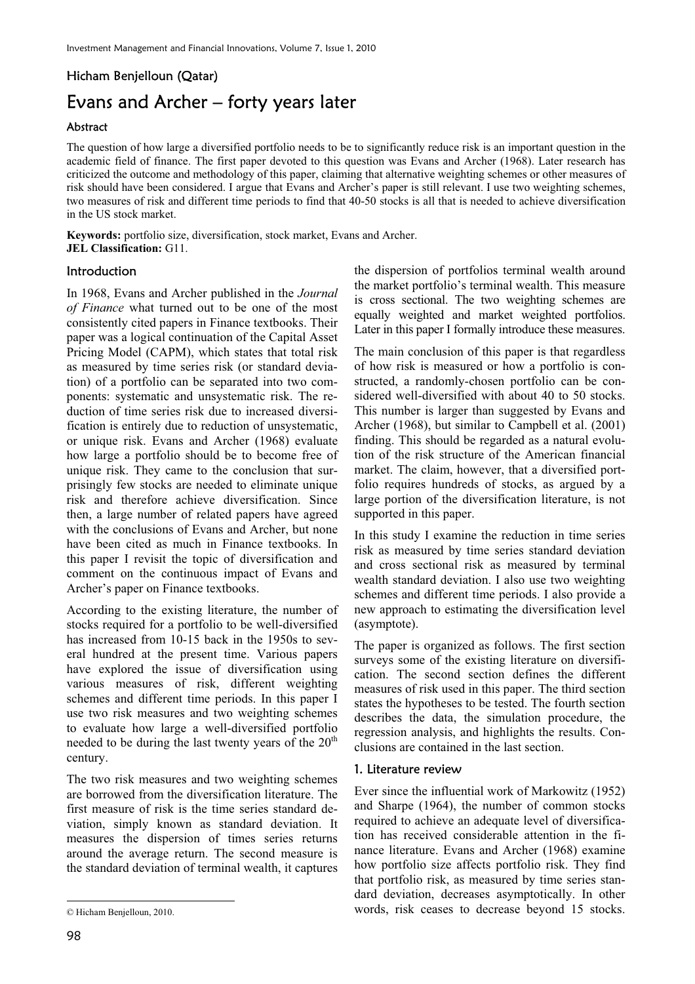## Hicham Benjelloun (Qatar) Evans and Archer – forty years later

## Abstract

The question of how large a diversified portfolio needs to be to significantly reduce risk is an important question in the academic field of finance. The first paper devoted to this question was Evans and Archer (1968). Later research has criticized the outcome and methodology of this paper, claiming that alternative weighting schemes or other measures of risk should have been considered. I argue that Evans and Archer's paper is still relevant. I use two weighting schemes, two measures of risk and different time periods to find that 40-50 stocks is all that is needed to achieve diversification in the US stock market.

**Keywords:** portfolio size, diversification, stock market, Evans and Archer. **JEL Classification:** G11.

## **Introduction**

In 1968, Evans and Archer published in the *Journal of Finance* what turned out to be one of the most consistently cited papers in Finance textbooks. Their paper was a logical continuation of the Capital Asset Pricing Model (CAPM), which states that total risk as measured by time series risk (or standard deviation) of a portfolio can be separated into two components: systematic and unsystematic risk. The reduction of time series risk due to increased diversification is entirely due to reduction of unsystematic, or unique risk. Evans and Archer (1968) evaluate how large a portfolio should be to become free of unique risk. They came to the conclusion that surprisingly few stocks are needed to eliminate unique risk and therefore achieve diversification. Since then, a large number of related papers have agreed with the conclusions of Evans and Archer, but none have been cited as much in Finance textbooks. In this paper I revisit the topic of diversification and comment on the continuous impact of Evans and Archer's paper on Finance textbooks.

According to the existing literature, the number of stocks required for a portfolio to be well-diversified has increased from 10-15 back in the 1950s to several hundred at the present time. Various papers have explored the issue of diversification using various measures of risk, different weighting schemes and different time periods. In this paper I use two risk measures and two weighting schemes to evaluate how large a well-diversified portfolio needed to be during the last twenty years of the  $20<sup>th</sup>$ century.

The two risk measures and two weighting schemes are borrowed from the diversification literature. The first measure of risk is the time series standard deviation, simply known as standard deviation. It measures the dispersion of times series returns around the average return. The second measure is the standard deviation of terminal wealth, it captures

the dispersion of portfolios terminal wealth around the market portfolio's terminal wealth. This measure is cross sectional. The two weighting schemes are equally weighted and market weighted portfolios. Later in this paper I formally introduce these measures.

The main conclusion of this paper is that regardless of how risk is measured or how a portfolio is constructed, a randomly-chosen portfolio can be considered well-diversified with about 40 to 50 stocks. This number is larger than suggested by Evans and Archer (1968), but similar to Campbell et al. (2001) finding. This should be regarded as a natural evolution of the risk structure of the American financial market. The claim, however, that a diversified portfolio requires hundreds of stocks, as argued by a large portion of the diversification literature, is not supported in this paper.

In this study I examine the reduction in time series risk as measured by time series standard deviation and cross sectional risk as measured by terminal wealth standard deviation. I also use two weighting schemes and different time periods. I also provide a new approach to estimating the diversification level (asymptote).

The paper is organized as follows. The first section surveys some of the existing literature on diversification. The second section defines the different measures of risk used in this paper. The third section states the hypotheses to be tested. The fourth section describes the data, the simulation procedure, the regression analysis, and highlights the results. Conclusions are contained in the last section.

## 1. Literature review

Ever since the influential work of Markowitz (1952) and Sharpe (1964), the number of common stocks required to achieve an adequate level of diversification has received considerable attention in the finance literature. Evans and Archer (1968) examine how portfolio size affects portfolio risk. They find that portfolio risk, as measured by time series standard deviation, decreases asymptotically. In other words, risk ceases to decrease beyond 15 stocks.

 $\overline{a}$ 

<sup>©</sup> Hicham Benjelloun, 2010.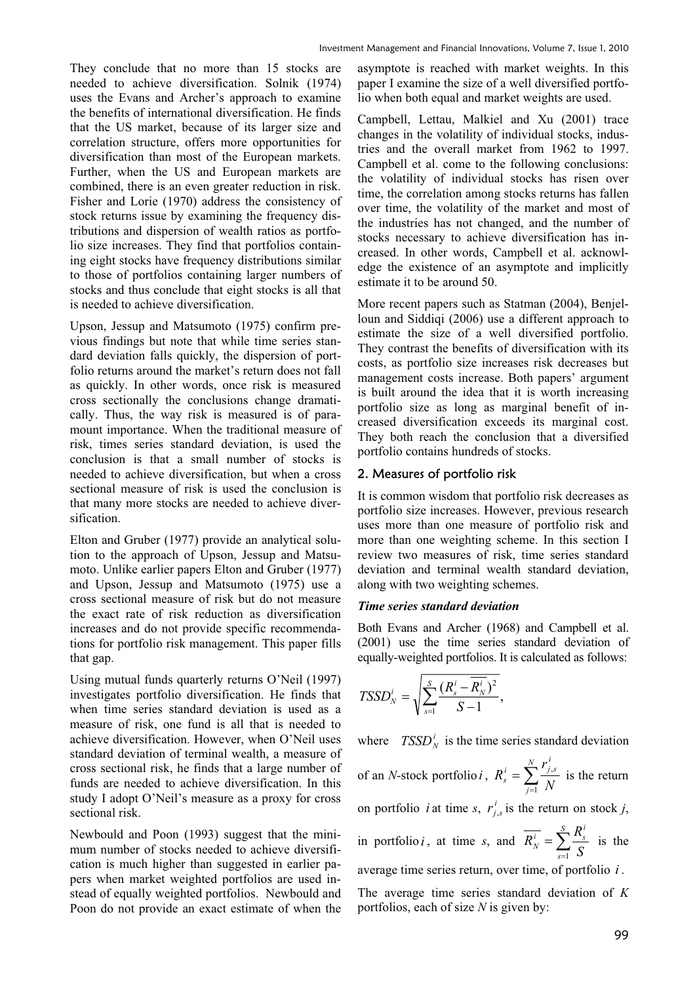They conclude that no more than 15 stocks are needed to achieve diversification. Solnik (1974) uses the Evans and Archer's approach to examine the benefits of international diversification. He finds that the US market, because of its larger size and correlation structure, offers more opportunities for diversification than most of the European markets. Further, when the US and European markets are combined, there is an even greater reduction in risk. Fisher and Lorie (1970) address the consistency of stock returns issue by examining the frequency distributions and dispersion of wealth ratios as portfolio size increases. They find that portfolios containing eight stocks have frequency distributions similar to those of portfolios containing larger numbers of stocks and thus conclude that eight stocks is all that is needed to achieve diversification.

Upson, Jessup and Matsumoto (1975) confirm previous findings but note that while time series standard deviation falls quickly, the dispersion of portfolio returns around the market's return does not fall as quickly. In other words, once risk is measured cross sectionally the conclusions change dramatically. Thus, the way risk is measured is of paramount importance. When the traditional measure of risk, times series standard deviation, is used the conclusion is that a small number of stocks is needed to achieve diversification, but when a cross sectional measure of risk is used the conclusion is that many more stocks are needed to achieve diversification.

Elton and Gruber (1977) provide an analytical solution to the approach of Upson, Jessup and Matsumoto. Unlike earlier papers Elton and Gruber (1977) and Upson, Jessup and Matsumoto (1975) use a cross sectional measure of risk but do not measure the exact rate of risk reduction as diversification increases and do not provide specific recommendations for portfolio risk management. This paper fills that gap.

Using mutual funds quarterly returns O'Neil (1997) investigates portfolio diversification. He finds that when time series standard deviation is used as a measure of risk, one fund is all that is needed to achieve diversification. However, when O'Neil uses standard deviation of terminal wealth, a measure of cross sectional risk, he finds that a large number of funds are needed to achieve diversification. In this study I adopt O'Neil's measure as a proxy for cross sectional risk.

Newbould and Poon (1993) suggest that the minimum number of stocks needed to achieve diversification is much higher than suggested in earlier papers when market weighted portfolios are used instead of equally weighted portfolios. Newbould and Poon do not provide an exact estimate of when the asymptote is reached with market weights. In this paper I examine the size of a well diversified portfolio when both equal and market weights are used.

Campbell, Lettau, Malkiel and Xu (2001) trace changes in the volatility of individual stocks, industries and the overall market from 1962 to 1997. Campbell et al. come to the following conclusions: the volatility of individual stocks has risen over time, the correlation among stocks returns has fallen over time, the volatility of the market and most of the industries has not changed, and the number of stocks necessary to achieve diversification has increased. In other words, Campbell et al. acknowledge the existence of an asymptote and implicitly estimate it to be around 50.

More recent papers such as Statman (2004), Benjelloun and Siddiqi (2006) use a different approach to estimate the size of a well diversified portfolio. They contrast the benefits of diversification with its costs, as portfolio size increases risk decreases but management costs increase. Both papers' argument is built around the idea that it is worth increasing portfolio size as long as marginal benefit of increased diversification exceeds its marginal cost. They both reach the conclusion that a diversified portfolio contains hundreds of stocks.

#### 2. Measures of portfolio risk

It is common wisdom that portfolio risk decreases as portfolio size increases. However, previous research uses more than one measure of portfolio risk and more than one weighting scheme. In this section I review two measures of risk, time series standard deviation and terminal wealth standard deviation, along with two weighting schemes.

#### *Time series standard deviation*

Both Evans and Archer (1968) and Campbell et al. (2001) use the time series standard deviation of equally-weighted portfolios. It is calculated as follows:

$$
TSSD_N^i = \sqrt{\sum_{s=1}^S \frac{(R_s^i - \overline{R_N^i})^2}{S-1}},
$$

where  $TSSD_N^i$  is the time series standard deviation of an *N*-stock portfolio *i*,  $R_s^i = \sum_{j=1}^N$ *j i*  $i = \sum' j,s$  $s - \sum_{j=1}^s N_j$ *r R* 1  $\frac{s}{r}$  is the return on portfolio *i* at time *s*,  $r_i^i$  $r_{j,s}^i$  is the return on stock *j*,

in portfolio *i*, at time *s*, and  $\overline{R_N^i} = \sum_{s=1}^S$ *s*  $\frac{\overline{i}}{N} = \sum_{s=1}^{S} \frac{R_s^i}{S}$  $\overline{R_N^i} = \sum_{i=1}^S R_i$ 1 is the average time series return, over time, of portfolio *i* .

The average time series standard deviation of *K* portfolios, each of size *N* is given by: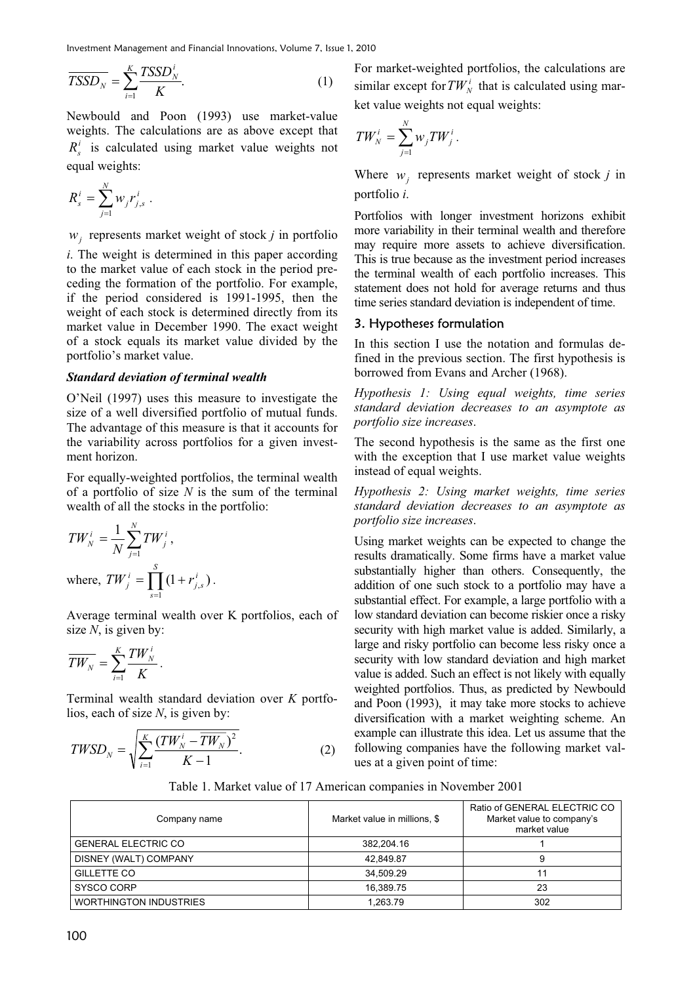Investment Management and Financial Innovations, Volume 7, Issue 1, 2010

$$
\overline{TSSD_N} = \sum_{i=1}^{K} \frac{TSSD_N^i}{K}.
$$
 (1)

Newbould and Poon (1993) use market-value weights. The calculations are as above except that  $R_s^i$  is calculated using market value weights not equal weights:

$$
R_s^i = \sum_{j=1}^N w_j r_{j,s}^i .
$$

*wj* represents market weight of stock *j* in portfolio

*i*. The weight is determined in this paper according to the market value of each stock in the period preceding the formation of the portfolio. For example, if the period considered is 1991-1995, then the weight of each stock is determined directly from its market value in December 1990. The exact weight of a stock equals its market value divided by the portfolio's market value.

#### *Standard deviation of terminal wealth*

O'Neil (1997) uses this measure to investigate the size of a well diversified portfolio of mutual funds. The advantage of this measure is that it accounts for the variability across portfolios for a given investment horizon.

For equally-weighted portfolios, the terminal wealth of a portfolio of size *N* is the sum of the terminal wealth of all the stocks in the portfolio:

$$
TW_N^i = \frac{1}{N} \sum_{j=1}^N TW_j^i,
$$
  
where,  $TW_j^i = \prod_{s=1}^S (1 + r_{j,s}^i).$ 

Average terminal wealth over K portfolios, each of size *N*, is given by:

$$
\overline{TW_N} = \sum_{i=1}^K \frac{TW_N^i}{K}.
$$

Terminal wealth standard deviation over *K* portfolios, each of size *N*, is given by:

$$
TWSD_N = \sqrt{\sum_{i=1}^{K} \frac{(TW_N^i - \overline{TW_N})^2}{K - 1}}.
$$
 (2)

For market-weighted portfolios, the calculations are similar except for  $TW_N^i$  that is calculated using market value weights not equal weights:

$$
TW_N^i = \sum_{j=1}^N w_j TW_j^i.
$$

Where  $w_j$  represents market weight of stock *j* in portfolio *i*.

Portfolios with longer investment horizons exhibit more variability in their terminal wealth and therefore may require more assets to achieve diversification. This is true because as the investment period increases the terminal wealth of each portfolio increases. This statement does not hold for average returns and thus time series standard deviation is independent of time.

#### 3. Hypotheses formulation

In this section I use the notation and formulas defined in the previous section. The first hypothesis is borrowed from Evans and Archer (1968).

*Hypothesis 1: Using equal weights, time series standard deviation decreases to an asymptote as portfolio size increases*.

The second hypothesis is the same as the first one with the exception that I use market value weights instead of equal weights.

*Hypothesis 2: Using market weights, time series standard deviation decreases to an asymptote as portfolio size increases*.

Using market weights can be expected to change the results dramatically. Some firms have a market value substantially higher than others. Consequently, the addition of one such stock to a portfolio may have a substantial effect. For example, a large portfolio with a low standard deviation can become riskier once a risky security with high market value is added. Similarly, a large and risky portfolio can become less risky once a security with low standard deviation and high market value is added. Such an effect is not likely with equally weighted portfolios. Thus, as predicted by Newbould and Poon (1993), it may take more stocks to achieve diversification with a market weighting scheme. An example can illustrate this idea. Let us assume that the following companies have the following market values at a given point of time:

Table 1. Market value of 17 American companies in November 2001

| Company name                  | Market value in millions, \$ | Ratio of GENERAL ELECTRIC CO<br>Market value to company's<br>market value |
|-------------------------------|------------------------------|---------------------------------------------------------------------------|
| <b>GENERAL ELECTRIC CO</b>    | 382.204.16                   |                                                                           |
| DISNEY (WALT) COMPANY         | 42.849.87                    | 9                                                                         |
| <b>GILLETTE CO</b>            | 34.509.29                    |                                                                           |
| SYSCO CORP                    | 16.389.75                    | 23                                                                        |
| <b>WORTHINGTON INDUSTRIES</b> | 1.263.79                     | 302                                                                       |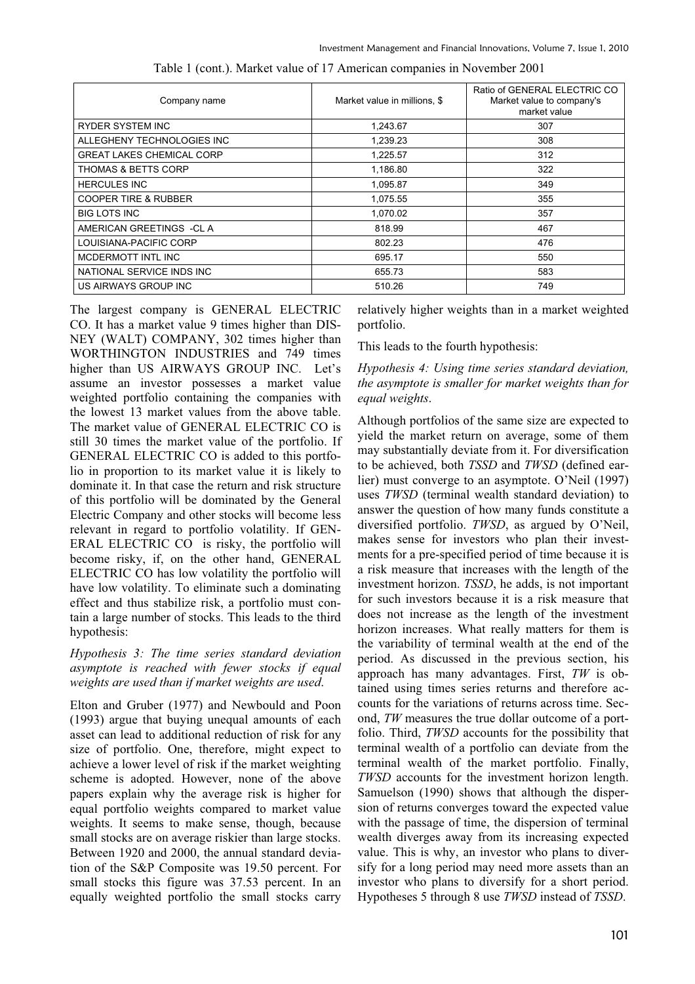| Company name                     | Market value in millions, \$ | Ratio of GENERAL ELECTRIC CO<br>Market value to company's<br>market value |
|----------------------------------|------------------------------|---------------------------------------------------------------------------|
| <b>RYDER SYSTEM INC</b>          | 1,243.67                     | 307                                                                       |
| ALLEGHENY TECHNOLOGIES INC       | 1,239.23                     | 308                                                                       |
| <b>GREAT LAKES CHEMICAL CORP</b> | 1,225.57                     | 312                                                                       |
| <b>THOMAS &amp; BETTS CORP</b>   | 1,186.80                     | 322                                                                       |
| <b>HERCULES INC</b>              | 1,095.87                     | 349                                                                       |
| <b>COOPER TIRE &amp; RUBBER</b>  | 1,075.55                     | 355                                                                       |
| <b>BIG LOTS INC</b>              | 1,070.02                     | 357                                                                       |
| AMERICAN GREETINGS -CL A         | 818.99                       | 467                                                                       |
| LOUISIANA-PACIFIC CORP           | 802.23                       | 476                                                                       |
| MCDERMOTT INTL INC               | 695.17                       | 550                                                                       |
| NATIONAL SERVICE INDS INC        | 655.73                       | 583                                                                       |
| US AIRWAYS GROUP INC             | 510.26                       | 749                                                                       |

Table 1 (cont.). Market value of 17 American companies in November 2001

The largest company is GENERAL ELECTRIC CO. It has a market value 9 times higher than DIS-NEY (WALT) COMPANY, 302 times higher than WORTHINGTON INDUSTRIES and 749 times higher than US AIRWAYS GROUP INC. Let's assume an investor possesses a market value weighted portfolio containing the companies with the lowest 13 market values from the above table. The market value of GENERAL ELECTRIC CO is still 30 times the market value of the portfolio. If GENERAL ELECTRIC CO is added to this portfolio in proportion to its market value it is likely to dominate it. In that case the return and risk structure of this portfolio will be dominated by the General Electric Company and other stocks will become less relevant in regard to portfolio volatility. If GEN-ERAL ELECTRIC CO is risky, the portfolio will become risky, if, on the other hand, GENERAL ELECTRIC CO has low volatility the portfolio will have low volatility. To eliminate such a dominating effect and thus stabilize risk, a portfolio must contain a large number of stocks. This leads to the third hypothesis:

## *Hypothesis 3: The time series standard deviation asymptote is reached with fewer stocks if equal weights are used than if market weights are used*.

Elton and Gruber (1977) and Newbould and Poon (1993) argue that buying unequal amounts of each asset can lead to additional reduction of risk for any size of portfolio. One, therefore, might expect to achieve a lower level of risk if the market weighting scheme is adopted. However, none of the above papers explain why the average risk is higher for equal portfolio weights compared to market value weights. It seems to make sense, though, because small stocks are on average riskier than large stocks. Between 1920 and 2000, the annual standard deviation of the S&P Composite was 19.50 percent. For small stocks this figure was 37.53 percent. In an equally weighted portfolio the small stocks carry relatively higher weights than in a market weighted portfolio.

This leads to the fourth hypothesis:

*Hypothesis 4: Using time series standard deviation, the asymptote is smaller for market weights than for equal weights*.

Although portfolios of the same size are expected to yield the market return on average, some of them may substantially deviate from it. For diversification to be achieved, both *TSSD* and *TWSD* (defined earlier) must converge to an asymptote. O'Neil (1997) uses *TWSD* (terminal wealth standard deviation) to answer the question of how many funds constitute a diversified portfolio. *TWSD*, as argued by O'Neil, makes sense for investors who plan their investments for a pre-specified period of time because it is a risk measure that increases with the length of the investment horizon. *TSSD*, he adds, is not important for such investors because it is a risk measure that does not increase as the length of the investment horizon increases. What really matters for them is the variability of terminal wealth at the end of the period. As discussed in the previous section, his approach has many advantages. First, *TW* is obtained using times series returns and therefore accounts for the variations of returns across time. Second, *TW* measures the true dollar outcome of a portfolio. Third, *TWSD* accounts for the possibility that terminal wealth of a portfolio can deviate from the terminal wealth of the market portfolio. Finally, *TWSD* accounts for the investment horizon length. Samuelson (1990) shows that although the dispersion of returns converges toward the expected value with the passage of time, the dispersion of terminal wealth diverges away from its increasing expected value. This is why, an investor who plans to diversify for a long period may need more assets than an investor who plans to diversify for a short period. Hypotheses 5 through 8 use *TWSD* instead of *TSSD*.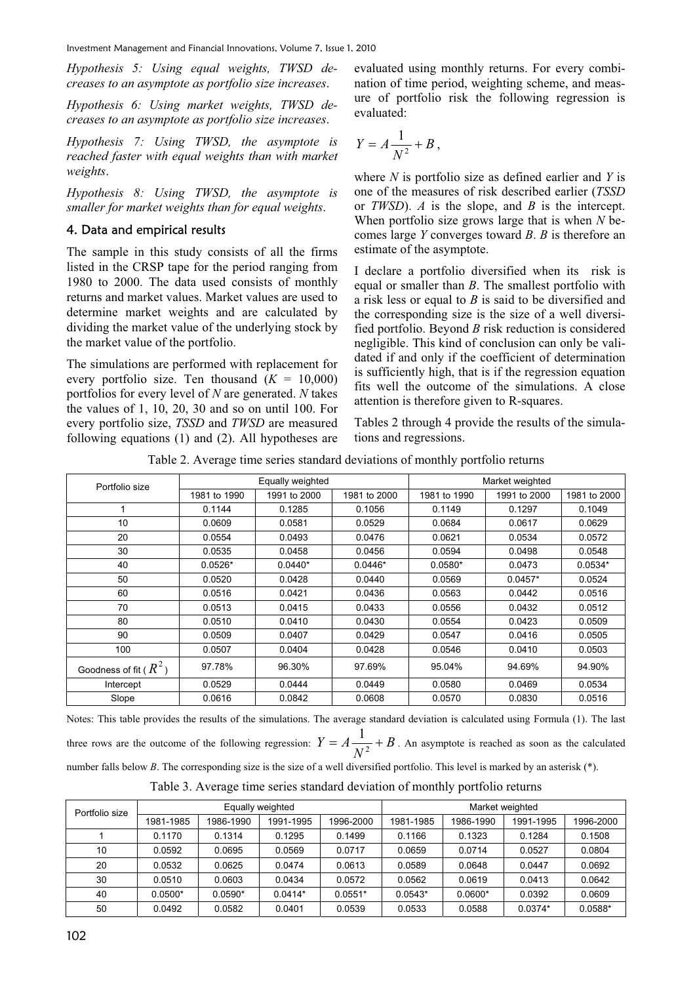Investment Management and Financial Innovations, Volume 7, Issue 1, 2010

*Hypothesis 5: Using equal weights, TWSD decreases to an asymptote as portfolio size increases*.

*Hypothesis 6: Using market weights, TWSD decreases to an asymptote as portfolio size increases*.

*Hypothesis 7: Using TWSD, the asymptote is reached faster with equal weights than with market weights*.

*Hypothesis 8: Using TWSD, the asymptote is smaller for market weights than for equal weights*.

## 4. Data and empirical results

The sample in this study consists of all the firms listed in the CRSP tape for the period ranging from 1980 to 2000. The data used consists of monthly returns and market values. Market values are used to determine market weights and are calculated by dividing the market value of the underlying stock by the market value of the portfolio.

The simulations are performed with replacement for every portfolio size. Ten thousand  $(K = 10,000)$ portfolios for every level of *N* are generated. *N* takes the values of 1, 10, 20, 30 and so on until 100. For every portfolio size, *TSSD* and *TWSD* are measured following equations (1) and (2). All hypotheses are

evaluated using monthly returns. For every combination of time period, weighting scheme, and measure of portfolio risk the following regression is evaluated:

$$
Y=A\frac{1}{N^2}+B,
$$

where *N* is portfolio size as defined earlier and *Y* is one of the measures of risk described earlier (*TSSD* or *TWSD*). *A* is the slope, and *B* is the intercept. When portfolio size grows large that is when *N* becomes large *Y* converges toward *B*. *B* is therefore an estimate of the asymptote.

I declare a portfolio diversified when its risk is equal or smaller than *B*. The smallest portfolio with a risk less or equal to *B* is said to be diversified and the corresponding size is the size of a well diversified portfolio. Beyond *B* risk reduction is considered negligible. This kind of conclusion can only be validated if and only if the coefficient of determination is sufficiently high, that is if the regression equation fits well the outcome of the simulations. A close attention is therefore given to R-squares.

Tables 2 through 4 provide the results of the simulations and regressions.

Table 2. Average time series standard deviations of monthly portfolio returns

| Portfolio size            |              | Equally weighted |              | Market weighted |              |              |
|---------------------------|--------------|------------------|--------------|-----------------|--------------|--------------|
|                           | 1981 to 1990 | 1991 to 2000     | 1981 to 2000 | 1981 to 1990    | 1991 to 2000 | 1981 to 2000 |
| 1                         | 0.1144       | 0.1285           | 0.1056       | 0.1149          | 0.1297       | 0.1049       |
| 10                        | 0.0609       | 0.0581           | 0.0529       | 0.0684          | 0.0617       | 0.0629       |
| 20                        | 0.0554       | 0.0493           | 0.0476       | 0.0621          | 0.0534       | 0.0572       |
| 30                        | 0.0535       | 0.0458           | 0.0456       | 0.0594          | 0.0498       | 0.0548       |
| 40                        | $0.0526*$    | $0.0440*$        | $0.0446*$    | $0.0580*$       | 0.0473       | $0.0534*$    |
| 50                        | 0.0520       | 0.0428           | 0.0440       | 0.0569          | $0.0457*$    | 0.0524       |
| 60                        | 0.0516       | 0.0421           | 0.0436       | 0.0563          | 0.0442       | 0.0516       |
| 70                        | 0.0513       | 0.0415           | 0.0433       | 0.0556          | 0.0432       | 0.0512       |
| 80                        | 0.0510       | 0.0410           | 0.0430       | 0.0554          | 0.0423       | 0.0509       |
| 90                        | 0.0509       | 0.0407           | 0.0429       | 0.0547          | 0.0416       | 0.0505       |
| 100                       | 0.0507       | 0.0404           | 0.0428       | 0.0546          | 0.0410       | 0.0503       |
| Goodness of fit ( $R^2$ ) | 97.78%       | 96.30%           | 97.69%       | 95.04%          | 94.69%       | 94.90%       |
| Intercept                 | 0.0529       | 0.0444           | 0.0449       | 0.0580          | 0.0469       | 0.0534       |
| Slope                     | 0.0616       | 0.0842           | 0.0608       | 0.0570          | 0.0830       | 0.0516       |

Notes: This table provides the results of the simulations. The average standard deviation is calculated using Formula (1). The last three rows are the outcome of the following regression:  $Y = A \frac{1}{2} + B$  $Y = A \frac{1}{N^2} + B$ . An asymptote is reached as soon as the calculated number falls below *B*. The corresponding size is the size of a well diversified portfolio. This level is marked by an asterisk (\*).

|  |  | Table 3. Average time series standard deviation of monthly portfolio returns |  |
|--|--|------------------------------------------------------------------------------|--|
|  |  |                                                                              |  |

| Portfolio size |           |           | Equally weighted |           | Market weighted |           |           |           |
|----------------|-----------|-----------|------------------|-----------|-----------------|-----------|-----------|-----------|
|                | 1981-1985 | 1986-1990 | 1991-1995        | 1996-2000 | 1981-1985       | 1986-1990 | 1991-1995 | 1996-2000 |
|                | 0.1170    | 0.1314    | 0.1295           | 0.1499    | 0.1166          | 0.1323    | 0.1284    | 0.1508    |
| 10             | 0.0592    | 0.0695    | 0.0569           | 0.0717    | 0.0659          | 0.0714    | 0.0527    | 0.0804    |
| 20             | 0.0532    | 0.0625    | 0.0474           | 0.0613    | 0.0589          | 0.0648    | 0.0447    | 0.0692    |
| 30             | 0.0510    | 0.0603    | 0.0434           | 0.0572    | 0.0562          | 0.0619    | 0.0413    | 0.0642    |
| 40             | $0.0500*$ | $0.0590*$ | $0.0414*$        | $0.0551*$ | $0.0543*$       | $0.0600*$ | 0.0392    | 0.0609    |
| 50             | 0.0492    | 0.0582    | 0.0401           | 0.0539    | 0.0533          | 0.0588    | $0.0374*$ | $0.0588*$ |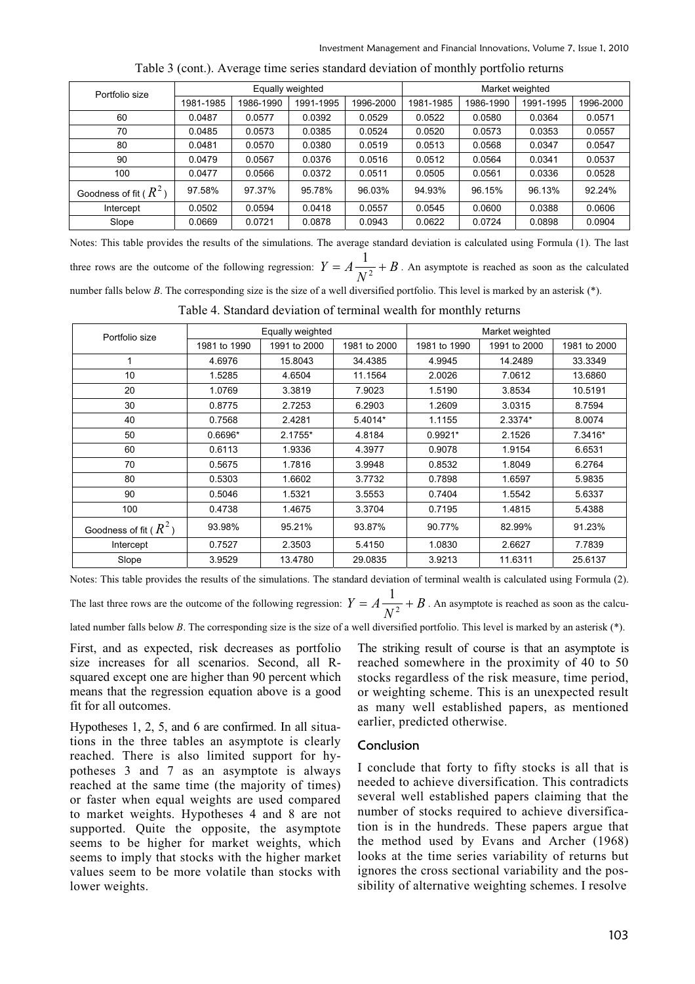| Portfolio size            | Equally weighted |           |           |           | Market weighted |           |           |           |
|---------------------------|------------------|-----------|-----------|-----------|-----------------|-----------|-----------|-----------|
|                           | 1981-1985        | 1986-1990 | 1991-1995 | 1996-2000 | 1981-1985       | 1986-1990 | 1991-1995 | 1996-2000 |
| 60                        | 0.0487           | 0.0577    | 0.0392    | 0.0529    | 0.0522          | 0.0580    | 0.0364    | 0.0571    |
| 70                        | 0.0485           | 0.0573    | 0.0385    | 0.0524    | 0.0520          | 0.0573    | 0.0353    | 0.0557    |
| 80                        | 0.0481           | 0.0570    | 0.0380    | 0.0519    | 0.0513          | 0.0568    | 0.0347    | 0.0547    |
| 90                        | 0.0479           | 0.0567    | 0.0376    | 0.0516    | 0.0512          | 0.0564    | 0.0341    | 0.0537    |
| 100                       | 0.0477           | 0.0566    | 0.0372    | 0.0511    | 0.0505          | 0.0561    | 0.0336    | 0.0528    |
| Goodness of fit ( $R^2$ ) | 97.58%           | 97.37%    | 95.78%    | 96.03%    | 94.93%          | 96.15%    | 96.13%    | 92.24%    |
| Intercept                 | 0.0502           | 0.0594    | 0.0418    | 0.0557    | 0.0545          | 0.0600    | 0.0388    | 0.0606    |
| Slope                     | 0.0669           | 0.0721    | 0.0878    | 0.0943    | 0.0622          | 0.0724    | 0.0898    | 0.0904    |

Table 3 (cont.). Average time series standard deviation of monthly portfolio returns

Notes: This table provides the results of the simulations. The average standard deviation is calculated using Formula (1). The last three rows are the outcome of the following regression:  $Y = A \frac{1}{2} + B$  $Y = A \frac{1}{N^2} + B$ . An asymptote is reached as soon as the calculated number falls below *B*. The corresponding size is the size of a well diversified portfolio. This level is marked by an asterisk (\*).

Table 4. Standard deviation of terminal wealth for monthly returns

| Portfolio size            |              | Equally weighted |              | Market weighted |              |              |  |
|---------------------------|--------------|------------------|--------------|-----------------|--------------|--------------|--|
|                           | 1981 to 1990 | 1991 to 2000     | 1981 to 2000 | 1981 to 1990    | 1991 to 2000 | 1981 to 2000 |  |
| 1                         | 4.6976       | 15.8043          | 34.4385      | 4.9945          | 14.2489      | 33.3349      |  |
| 10                        | 1.5285       | 4.6504           | 11.1564      | 2.0026          | 7.0612       | 13.6860      |  |
| 20                        | 1.0769       | 3.3819           | 7.9023       | 1.5190          | 3.8534       | 10.5191      |  |
| 30                        | 0.8775       | 2.7253           | 6.2903       | 1.2609          | 3.0315       | 8.7594       |  |
| 40                        | 0.7568       | 2.4281           | 5.4014*      | 1.1155          | 2.3374*      | 8.0074       |  |
| 50                        | $0.6696*$    | $2.1755*$        | 4.8184       | $0.9921*$       | 2.1526       | 7.3416*      |  |
| 60                        | 0.6113       | 1.9336           | 4.3977       | 0.9078          | 1.9154       | 6.6531       |  |
| 70                        | 0.5675       | 1.7816           | 3.9948       | 0.8532          | 1.8049       | 6.2764       |  |
| 80                        | 0.5303       | 1.6602           | 3.7732       | 0.7898          | 1.6597       | 5.9835       |  |
| 90                        | 0.5046       | 1.5321           | 3.5553       | 0.7404          | 1.5542       | 5.6337       |  |
| 100                       | 0.4738       | 1.4675           | 3.3704       | 0.7195          | 1.4815       | 5.4388       |  |
| Goodness of fit ( $R^2$ ) | 93.98%       | 95.21%           | 93.87%       | 90.77%          | 82.99%       | 91.23%       |  |
| Intercept                 | 0.7527       | 2.3503           | 5.4150       | 1.0830          | 2.6627       | 7.7839       |  |
| Slope                     | 3.9529       | 13.4780          | 29.0835      | 3.9213          | 11.6311      | 25.6137      |  |

Notes: This table provides the results of the simulations. The standard deviation of terminal wealth is calculated using Formula (2).

The last three rows are the outcome of the following regression:  $Y = A \frac{1}{2} + B$  $Y = A \frac{1}{N^2} + B$ . An asymptote is reached as soon as the calcu-

lated number falls below *B*. The corresponding size is the size of a well diversified portfolio. This level is marked by an asterisk (\*).

First, and as expected, risk decreases as portfolio size increases for all scenarios. Second, all Rsquared except one are higher than 90 percent which means that the regression equation above is a good fit for all outcomes.

Hypotheses 1, 2, 5, and 6 are confirmed. In all situations in the three tables an asymptote is clearly reached. There is also limited support for hypotheses 3 and 7 as an asymptote is always reached at the same time (the majority of times) or faster when equal weights are used compared to market weights. Hypotheses 4 and 8 are not supported. Quite the opposite, the asymptote seems to be higher for market weights, which seems to imply that stocks with the higher market values seem to be more volatile than stocks with lower weights.

The striking result of course is that an asymptote is reached somewhere in the proximity of 40 to 50 stocks regardless of the risk measure, time period, or weighting scheme. This is an unexpected result as many well established papers, as mentioned earlier, predicted otherwise.

## Conclusion

I conclude that forty to fifty stocks is all that is needed to achieve diversification. This contradicts several well established papers claiming that the number of stocks required to achieve diversification is in the hundreds. These papers argue that the method used by Evans and Archer (1968) looks at the time series variability of returns but ignores the cross sectional variability and the possibility of alternative weighting schemes. I resolve